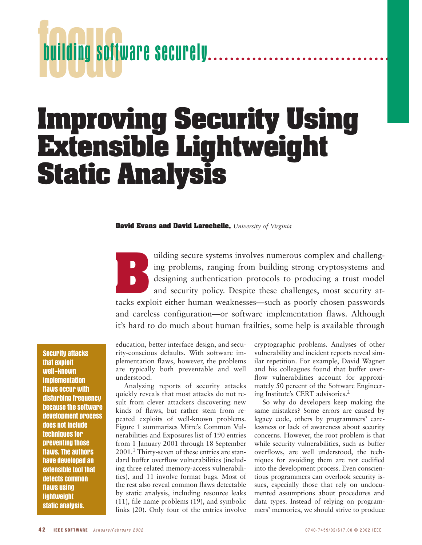# **follows** building software securely

# **Improving Security Using Extensible Lightweight Static Analysis**

**David Evans and David Larochelle,** *University of Virginia*

uilding secure systems involves numerous complex and challeng-<br>ing problems, ranging from building strong cryptosystems and<br>designing authentication protocols to producing a trust model<br>and security policy. Despite these c ing problems, ranging from building strong cryptosystems and designing authentication protocols to producing a trust model and security policy. Despite these challenges, most security attacks exploit either human weaknesses—such as poorly chosen passwords and careless configuration—or software implementation flaws. Although it's hard to do much about human frailties, some help is available through

**Security attacks that exploit well-known implementation flaws occur with disturbing frequency because the software development process does not include techniques for preventing those flaws. The authors have developed an extensible tool that detects common flaws using lightweight static analysis.**

education, better interface design, and security-conscious defaults. With software implementation flaws, however, the problems are typically both preventable and well understood.

Analyzing reports of security attacks quickly reveals that most attacks do not result from clever attackers discovering new kinds of flaws, but rather stem from repeated exploits of well-known problems. Figure 1 summarizes Mitre's Common Vulnerabilities and Exposures list of 190 entries from 1 January 2001 through 18 September 2001.1 Thirty-seven of these entries are standard buffer overflow vulnerabilities (including three related memory-access vulnerabilities), and 11 involve format bugs. Most of the rest also reveal common flaws detectable by static analysis, including resource leaks (11), file name problems (19), and symbolic links (20). Only four of the entries involve

cryptographic problems. Analyses of other vulnerability and incident reports reveal similar repetition. For example, David Wagner and his colleagues found that buffer overflow vulnerabilities account for approximately 50 percent of the Software Engineering Institute's CERT advisories.2

So why do developers keep making the same mistakes? Some errors are caused by legacy code, others by programmers' carelessness or lack of awareness about security concerns. However, the root problem is that while security vulnerabilities, such as buffer overflows, are well understood, the techniques for avoiding them are not codified into the development process. Even conscientious programmers can overlook security issues, especially those that rely on undocumented assumptions about procedures and data types. Instead of relying on programmers' memories, we should strive to produce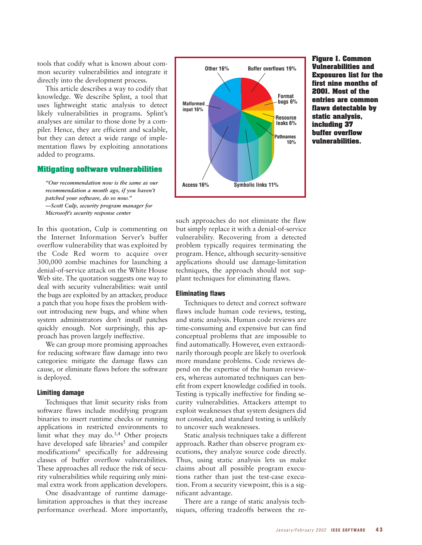tools that codify what is known about common security vulnerabilities and integrate it directly into the development process.

This article describes a way to codify that knowledge. We describe Splint, a tool that uses lightweight static analysis to detect likely vulnerabilities in programs. Splint's analyses are similar to those done by a compiler. Hence, they are efficient and scalable, but they can detect a wide range of implementation flaws by exploiting annotations added to programs.

# **Mitigating software vulnerabilities**

*"Our recommendation now is the same as our recommendation a month ago, if you haven't patched your software, do so now." —Scott Culp, security program manager for Microsoft's security response center*

In this quotation, Culp is commenting on the Internet Information Server's buffer overflow vulnerability that was exploited by the Code Red worm to acquire over 300,000 zombie machines for launching a denial-of-service attack on the White House Web site. The quotation suggests one way to deal with security vulnerabilities: wait until the bugs are exploited by an attacker, produce a patch that you hope fixes the problem without introducing new bugs, and whine when system administrators don't install patches quickly enough. Not surprisingly, this approach has proven largely ineffective.

We can group more promising approaches for reducing software flaw damage into two categories: mitigate the damage flaws can cause, or eliminate flaws before the software is deployed.

# **Limiting damage**

Techniques that limit security risks from software flaws include modifying program binaries to insert runtime checks or running applications in restricted environments to limit what they may do.<sup>3,4</sup> Other projects have developed safe libraries<sup>5</sup> and compiler modifications<sup>6</sup> specifically for addressing classes of buffer overflow vulnerabilities. These approaches all reduce the risk of security vulnerabilities while requiring only minimal extra work from application developers.

One disadvantage of runtime damagelimitation approaches is that they increase performance overhead. More importantly,



**Figure 1. Common Vulnerabilities and Exposures list for the first nine months of 2001. Most of the entries are common flaws detectable by static analysis, including 37 buffer overflow vulnerabilities.**

such approaches do not eliminate the flaw but simply replace it with a denial-of-service vulnerability. Recovering from a detected problem typically requires terminating the program. Hence, although security-sensitive applications should use damage-limitation techniques, the approach should not supplant techniques for eliminating flaws.

# **Eliminating flaws**

Techniques to detect and correct software flaws include human code reviews, testing, and static analysis. Human code reviews are time-consuming and expensive but can find conceptual problems that are impossible to find automatically. However, even extraordinarily thorough people are likely to overlook more mundane problems. Code reviews depend on the expertise of the human reviewers, whereas automated techniques can benefit from expert knowledge codified in tools. Testing is typically ineffective for finding security vulnerabilities. Attackers attempt to exploit weaknesses that system designers did not consider, and standard testing is unlikely to uncover such weaknesses.

Static analysis techniques take a different approach. Rather than observe program executions, they analyze source code directly. Thus, using static analysis lets us make claims about all possible program executions rather than just the test-case execution. From a security viewpoint, this is a significant advantage.

There are a range of static analysis techniques, offering tradeoffs between the re-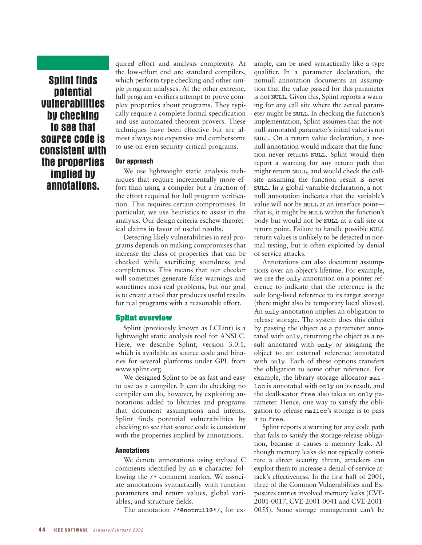**Splint finds potential vulnerabilities by checking to see that source code is consistent with the properties implied by annotations.**

quired effort and analysis complexity. At the low-effort end are standard compilers, which perform type checking and other simple program analyses. At the other extreme, full program verifiers attempt to prove complex properties about programs. They typically require a complete formal specification and use automated theorem provers. These techniques have been effective but are almost always too expensive and cumbersome to use on even security-critical programs.

### **Our approach**

We use lightweight static analysis techniques that require incrementally more effort than using a compiler but a fraction of the effort required for full program verification. This requires certain compromises. In particular, we use heuristics to assist in the analysis. Our design criteria eschew theoretical claims in favor of useful results.

Detecting likely vulnerabilities in real programs depends on making compromises that increase the class of properties that can be checked while sacrificing soundness and completeness. This means that our checker will sometimes generate false warnings and sometimes miss real problems, but our goal is to create a tool that produces useful results for real programs with a reasonable effort.

# **Splint overview**

Splint (previously known as LCLint) is a lightweight static analysis tool for ANSI C. Here, we describe Splint, version 3.0.1, which is available as source code and binaries for several platforms under GPL from www.splint.org.

We designed Splint to be as fast and easy to use as a compiler. It can do checking no compiler can do, however, by exploiting annotations added to libraries and programs that document assumptions and intents. Splint finds potential vulnerabilities by checking to see that source code is consistent with the properties implied by annotations.

# **Annotations**

We denote annotations using stylized C comments identified by an @ character following the /\* comment marker. We associate annotations syntactically with function parameters and return values, global variables, and structure fields.

The annotation /\*@notnull@\*/, for ex-

ample, can be used syntactically like a type qualifier. In a parameter declaration, the notnull annotation documents an assumption that the value passed for this parameter is not NULL. Given this, Splint reports a warning for any call site where the actual parameter might be NULL. In checking the function's implementation, Splint assumes that the notnull-annotated parameter's initial value is not NULL. On a return value declaration, a notnull annotation would indicate that the function never returns NULL. Splint would then report a warning for any return path that might return NULL, and would check the callsite assuming the function result is never NULL. In a global variable declaration, a notnull annotation indicates that the variable's value will not be NULL at an interface point that is, it might be NULL within the function's body but would not be NULL at a call site or return point. Failure to handle possible NULL return values is unlikely to be detected in normal testing, but is often exploited by denial of service attacks.

Annotations can also document assumptions over an object's lifetime. For example, we use the only annotation on a pointer reference to indicate that the reference is the sole long-lived reference to its target storage (there might also be temporary local aliases). An only annotation implies an obligation to release storage. The system does this either by passing the object as a parameter annotated with only, returning the object as a result annotated with only or assigning the object to an external reference annotated with only. Each of these options transfers the obligation to some other reference. For example, the library storage allocator malloc is annotated with only on its result, and the deallocator free also takes an only parameter. Hence, one way to satisfy the obligation to release malloc's storage is to pass it to free.

Splint reports a warning for any code path that fails to satisfy the storage-release obligation, because it causes a memory leak. Although memory leaks do not typically constitute a direct security threat, attackers can exploit them to increase a denial-of-service attack's effectiveness. In the first half of 2001, three of the Common Vulnerabilities and Exposures entries involved memory leaks (CVE-2001-0017, CVE-2001-0041 and CVE-2001- 0055). Some storage management can't be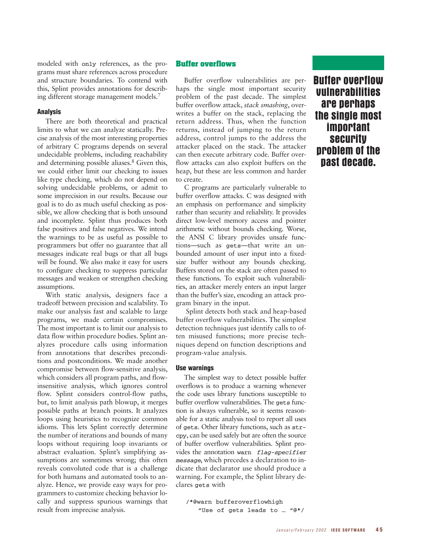modeled with only references, as the programs must share references across procedure and structure boundaries. To contend with this, Splint provides annotations for describing different storage management models.7

# **Analysis**

There are both theoretical and practical limits to what we can analyze statically. Precise analysis of the most interesting properties of arbitrary C programs depends on several undecidable problems, including reachability and determining possible aliases.<sup>8</sup> Given this, we could either limit our checking to issues like type checking, which do not depend on solving undecidable problems, or admit to some imprecision in our results. Because our goal is to do as much useful checking as possible, we allow checking that is both unsound and incomplete. Splint thus produces both false positives and false negatives. We intend the warnings to be as useful as possible to programmers but offer no guarantee that all messages indicate real bugs or that all bugs will be found. We also make it easy for users to configure checking to suppress particular messages and weaken or strengthen checking assumptions.

With static analysis, designers face a tradeoff between precision and scalability. To make our analysis fast and scalable to large programs, we made certain compromises. The most important is to limit our analysis to data flow within procedure bodies. Splint analyzes procedure calls using information from annotations that describes preconditions and postconditions. We made another compromise between flow-sensitive analysis, which considers all program paths, and flowinsensitive analysis, which ignores control flow. Splint considers control-flow paths, but, to limit analysis path blowup, it merges possible paths at branch points. It analyzes loops using heuristics to recognize common idioms. This lets Splint correctly determine the number of iterations and bounds of many loops without requiring loop invariants or abstract evaluation. Splint's simplifying assumptions are sometimes wrong; this often reveals convoluted code that is a challenge for both humans and automated tools to analyze. Hence, we provide easy ways for programmers to customize checking behavior locally and suppress spurious warnings that result from imprecise analysis.

# **Buffer overflows**

Buffer overflow vulnerabilities are perhaps the single most important security problem of the past decade. The simplest buffer overflow attack, *stack smashing*, overwrites a buffer on the stack, replacing the return address. Thus, when the function returns, instead of jumping to the return address, control jumps to the address the attacker placed on the stack. The attacker can then execute arbitrary code. Buffer overflow attacks can also exploit buffers on the heap, but these are less common and harder to create.

C programs are particularly vulnerable to buffer overflow attacks. C was designed with an emphasis on performance and simplicity rather than security and reliability. It provides direct low-level memory access and pointer arithmetic without bounds checking. Worse, the ANSI C library provides unsafe functions—such as gets—that write an unbounded amount of user input into a fixedsize buffer without any bounds checking. Buffers stored on the stack are often passed to these functions. To exploit such vulnerabilities, an attacker merely enters an input larger than the buffer's size, encoding an attack program binary in the input.

Splint detects both stack and heap-based buffer overflow vulnerabilities. The simplest detection techniques just identify calls to often misused functions; more precise techniques depend on function descriptions and program-value analysis.

# **Use warnings**

The simplest way to detect possible buffer overflows is to produce a warning whenever the code uses library functions susceptible to buffer overflow vulnerabilities. The gets function is always vulnerable, so it seems reasonable for a static analysis tool to report all uses of gets. Other library functions, such as strcpy, can be used safely but are often the source of buffer overflow vulnerabilities. Splint provides the annotation warn *flag-specifier message*, which precedes a declaration to indicate that declarator use should produce a warning. For example, the Splint library declares gets with

/\*@warn bufferoverflowhigh "Use of gets leads to … "@\*/ **Buffer overflow vulnerabilities are perhaps the single most important security problem of the past decade.**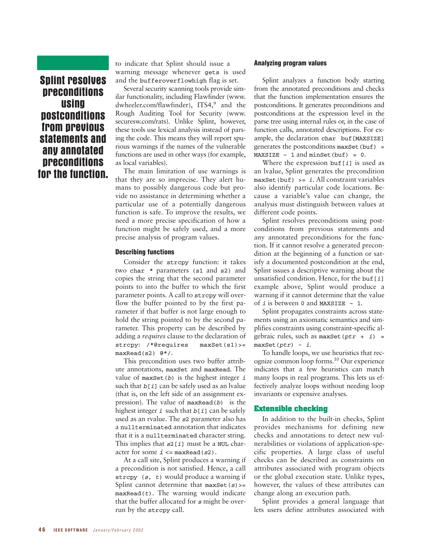# **Splint resolves preconditions using postconditions from previous statements and any annotated preconditions for the function.**

to indicate that Splint should issue a warning message whenever gets is used and the bufferoverflowhigh flag is set.

Several security scanning tools provide similar functionality, including Flawfinder (www. dwheeler.com/flawfinder), ITS4,<sup>9</sup> and the Rough Auditing Tool for Security (www. securesw.com/rats). Unlike Splint, however, these tools use lexical analysis instead of parsing the code. This means they will report spurious warnings if the names of the vulnerable functions are used in other ways (for example, as local variables).

The main limitation of use warnings is that they are so imprecise. They alert humans to possibly dangerous code but provide no assistance in determining whether a particular use of a potentially dangerous function is safe. To improve the results, we need a more precise specification of how a function might be safely used, and a more precise analysis of program values.

# **Describing functions**

Consider the strcpy function: it takes two char \* parameters (s1 and s2) and copies the string that the second parameter points to into the buffer to which the first parameter points. A call to strcpy will overflow the buffer pointed to by the first parameter if that buffer is not large enough to hold the string pointed to by the second parameter. This property can be described by adding a *requires* clause to the declaration of strcpy: /\*@requires maxSet(s1)>= maxRead(s2) @\*/.

This precondition uses two buffer attribute annotations, maxSet and maxRead. The value of maxSet(*b*) is the highest integer *i* such that *b*[*i*] can be safely used as an lvalue (that is, on the left side of an assignment expression). The value of maxRead(*b*) is the highest integer *i* such that *b*[*i*] can be safely used as an rvalue. The *s*2 parameter also has a nullterminated annotation that indicates that it is a nullterminated character string. This implies that *s*2[*i*] must be a NUL character for some *i* <= maxRead(*s*2).

At a call site, Splint produces a warning if a precondition is not satisfied. Hence, a call strcpy (*s*, *t*) would produce a warning if Splint cannot determine that maxSet(*s*)>= maxRead(*t*). The warning would indicate that the buffer allocated for *s* might be overrun by the strcpy call.

# **Analyzing program values**

Splint analyzes a function body starting from the annotated preconditions and checks that the function implementation ensures the postconditions. It generates preconditions and postconditions at the expression level in the parse tree using internal rules or, in the case of function calls, annotated descriptions. For example, the declaration char buf[MAXSIZE] generates the postconditions maxSet (buf) =  $MAXSIZE - 1 and minSet(buf) = 0.$ 

Where the expression buf[*i*] is used as an lvalue, Splint generates the precondition maxSet(buf) >= *i*. All constraint variables also identify particular code locations. Because a variable's value can change, the analysis must distinguish between values at different code points.

Splint resolves preconditions using postconditions from previous statements and any annotated preconditions for the function. If it cannot resolve a generated precondition at the beginning of a function or satisfy a documented postcondition at the end, Splint issues a descriptive warning about the unsatisfied condition. Hence, for the buf[*i*] example above, Splint would produce a warning if it cannot determine that the value of *i* is between 0 and MAXSIZE – 1.

Splint propagates constraints across statements using an axiomatic semantics and simplifies constraints using constraint-specific algebraic rules, such as maxSet(*ptr* + *i*) = maxSet(*ptr*) - *i*.

To handle loops, we use heuristics that recognize common loop forms.10 Our experience indicates that a few heuristics can match many loops in real programs. This lets us effectively analyze loops without needing loop invariants or expensive analyses.

# **Extensible checking**

In addition to the built-in checks, Splint provides mechanisms for defining new checks and annotations to detect new vulnerabilities or violations of application-specific properties. A large class of useful checks can be described as constraints on attributes associated with program objects or the global execution state. Unlike types, however, the values of these attributes can change along an execution path.

Splint provides a general language that lets users define attributes associated with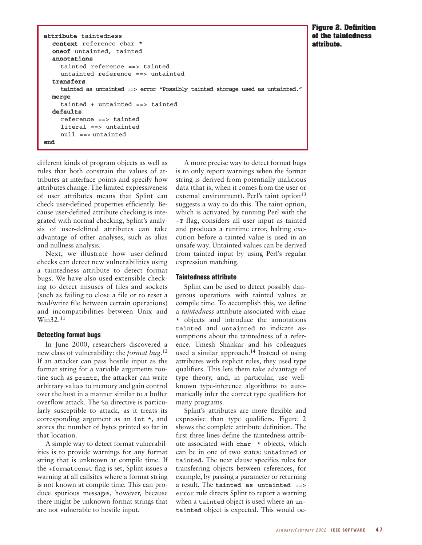**Figure 2. Definition of the taintedness attribute.**

```
attribute taintedness
  context reference char *
  oneof untainted, tainted
  annotations
    tainted reference ==> tainted
    untainted reference ==> untainted
  transfers
    tainted as untainted ==> error "Possibly tainted storage used as untainted."
  merge
    tainted + untainted ==> tainted
  defaults
    reference ==> tainted
    literal ==> untainted
    null ==> untainted
end
```
different kinds of program objects as well as rules that both constrain the values of attributes at interface points and specify how attributes change. The limited expressiveness of user attributes means that Splint can check user-defined properties efficiently. Because user-defined attribute checking is integrated with normal checking, Splint's analysis of user-defined attributes can take advantage of other analyses, such as alias and nullness analysis.

Next, we illustrate how user-defined checks can detect new vulnerabilities using a taintedness attribute to detect format bugs. We have also used extensible checking to detect misuses of files and sockets (such as failing to close a file or to reset a read/write file between certain operations) and incompatibilities between Unix and Win32.<sup>11</sup>

# **Detecting format bugs**

In June 2000, researchers discovered a new class of vulnerability: the *format bug*. 12 If an attacker can pass hostile input as the format string for a variable arguments routine such as printf, the attacker can write arbitrary values to memory and gain control over the host in a manner similar to a buffer overflow attack. The %n directive is particularly susceptible to attack, as it treats its corresponding argument as an int \*, and stores the number of bytes printed so far in that location.

A simple way to detect format vulnerabilities is to provide warnings for any format string that is unknown at compile time. If the +formatconst flag is set, Splint issues a warning at all callsites where a format string is not known at compile time. This can produce spurious messages, however, because there might be unknown format strings that are not vulnerable to hostile input.

A more precise way to detect format bugs is to only report warnings when the format string is derived from potentially malicious data (that is, when it comes from the user or external environment). Perl's taint option $13$ suggests a way to do this. The taint option, which is activated by running Perl with the -T flag, considers all user input as tainted and produces a runtime error, halting execution before a tainted value is used in an unsafe way. Untainted values can be derived from tainted input by using Perl's regular expression matching.

# **Taintedness attribute**

Splint can be used to detect possibly dangerous operations with tainted values at compile time. To accomplish this, we define a *taintedness* attribute associated with char \* objects and introduce the annotations tainted and untainted to indicate assumptions about the taintedness of a reference. Umesh Shankar and his colleagues used a similar approach.<sup>14</sup> Instead of using attributes with explicit rules, they used type qualifiers. This lets them take advantage of type theory, and, in particular, use wellknown type-inference algorithms to automatically infer the correct type qualifiers for many programs.

Splint's attributes are more flexible and expressive than type qualifiers. Figure 2 shows the complete attribute definition. The first three lines define the taintedness attribute associated with char \* objects, which can be in one of two states: untainted or tainted. The next clause specifies rules for transferring objects between references, for example, by passing a parameter or returning a result. The tainted as untainted ==> error rule directs Splint to report a warning when a tainted object is used where an untainted object is expected. This would oc-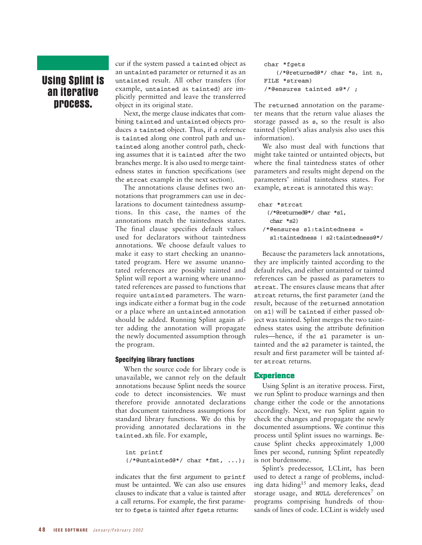# **Using Splint is an iterative process.**

cur if the system passed a tainted object as an untainted parameter or returned it as an untainted result. All other transfers (for example, untainted as tainted) are implicitly permitted and leave the transferred object in its original state.

Next, the merge clause indicates that combining tainted and untainted objects produces a tainted object. Thus, if a reference is tainted along one control path and untainted along another control path, checking assumes that it is tainted after the two branches merge. It is also used to merge taintedness states in function specifications (see the strcat example in the next section).

The annotations clause defines two annotations that programmers can use in declarations to document taintedness assumptions. In this case, the names of the annotations match the taintedness states. The final clause specifies default values used for declarators without taintedness annotations. We choose default values to make it easy to start checking an unannotated program. Here we assume unannotated references are possibly tainted and Splint will report a warning where unannotated references are passed to functions that require untainted parameters. The warnings indicate either a format bug in the code or a place where an untainted annotation should be added. Running Splint again after adding the annotation will propagate the newly documented assumption through the program.

# **Specifying library functions**

When the source code for library code is unavailable, we cannot rely on the default annotations because Splint needs the source code to detect inconsistencies. We must therefore provide annotated declarations that document taintedness assumptions for standard library functions. We do this by providing annotated declarations in the tainted.xh file. For example,

int printf (/\*@untainted@\*/ char \*fmt, ...);

indicates that the first argument to printf must be untainted. We can also use ensures clauses to indicate that a value is tainted after a call returns. For example, the first parameter to fgets is tainted after fgets returns:

```
char *fgets
   (/*@returned@*/ char *s, int n,
FILE *stream)
/*@ensures tainted s@*/ ;
```
The returned annotation on the parameter means that the return value aliases the storage passed as s, so the result is also tainted (Splint's alias analysis also uses this information).

We also must deal with functions that might take tainted or untainted objects, but where the final taintedness states of other parameters and results might depend on the parameters' initial taintedness states. For example, strcat is annotated this way:

```
char *strcat 
  (/*@returned@*/ char *s1, 
   char *s2)
 /*@ensures s1:taintedness =
   s1:taintedness | s2:taintedness@*/
```
Because the parameters lack annotations, they are implicitly tainted according to the default rules, and either untainted or tainted references can be passed as parameters to strcat. The ensures clause means that after strcat returns, the first parameter (and the result, because of the returned annotation on s1) will be tainted if either passed object was tainted. Splint merges the two taintedness states using the attribute definition rules—hence, if the s1 parameter is untainted and the s2 parameter is tainted, the result and first parameter will be tainted after strcat returns.

# **Experience**

Using Splint is an iterative process. First, we run Splint to produce warnings and then change either the code or the annotations accordingly. Next, we run Splint again to check the changes and propagate the newly documented assumptions. We continue this process until Splint issues no warnings. Because Splint checks approximately 1,000 lines per second, running Splint repeatedly is not burdensome.

Splint's predecessor, LCLint, has been used to detect a range of problems, including data hiding<sup>15</sup> and memory leaks, dead storage usage, and NULL dereferences<sup>7</sup> on programs comprising hundreds of thousands of lines of code. LCLint is widely used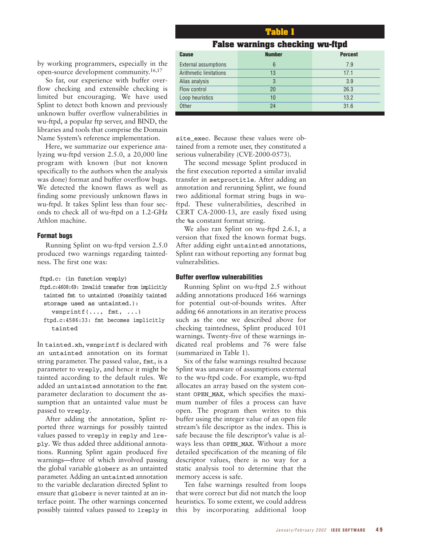# **Table 1**

# **False warnings checking wu-ftpd**

by working programmers, especially in the open-source development community.16,17

So far, our experience with buffer overflow checking and extensible checking is limited but encouraging. We have used Splint to detect both known and previously unknown buffer overflow vulnerabilities in wu-ftpd, a popular ftp server, and BIND, the libraries and tools that comprise the Domain Name System's reference implementation.

Here, we summarize our experience analyzing wu-ftpd version 2.5.0, a 20,000 line program with known (but not known specifically to the authors when the analysis was done) format and buffer overflow bugs. We detected the known flaws as well as finding some previously unknown flaws in wu-ftpd. It takes Splint less than four seconds to check all of wu-ftpd on a 1.2-GHz Athlon machine.

# **Format bugs**

Running Splint on wu-ftpd version 2.5.0 produced two warnings regarding taintedness. The first one was:

```
ftpd.c: (in function vreply)
ftpd.c:4608:69: Invalid transfer from implicitly
 tainted fmt to untainted (Possibly tainted 
 storage used as untainted.): 
    vsnprintf(..., fmt, ...)
 ftpd.c:4586:33: fmt becomes implicitly
    tainted
```
In tainted.xh, vsnprintf is declared with an untainted annotation on its format string parameter. The passed value, fmt, is a parameter to vreply, and hence it might be tainted according to the default rules. We added an untainted annotation to the fmt parameter declaration to document the assumption that an untainted value must be passed to vreply.

After adding the annotation, Splint reported three warnings for possibly tainted values passed to vreply in reply and lreply. We thus added three additional annotations. Running Splint again produced five warnings—three of which involved passing the global variable globerr as an untainted parameter. Adding an untainted annotation to the variable declaration directed Splint to ensure that globerr is never tainted at an interface point. The other warnings concerned possibly tainted values passed to lreply in

| <b>Cause</b>           | <b>Number</b> | <b>Percent</b> |
|------------------------|---------------|----------------|
| External assumptions   | 6             | 7.9            |
| Arithmetic limitations | 13            | 17.1           |
| Alias analysis         | 3             | 3.9            |
| Flow control           | 20            | 26.3           |
| Loop heuristics        | 10            | 13.2           |
| Other                  | 24            | 31.6           |
|                        |               |                |

site\_exec. Because these values were obtained from a remote user, they constituted a serious vulnerability (CVE-2000-0573).

The second message Splint produced in the first execution reported a similar invalid transfer in setproctitle. After adding an annotation and rerunning Splint, we found two additional format string bugs in wuftpd. These vulnerabilities, described in CERT CA-2000-13, are easily fixed using the %s constant format string.

We also ran Splint on wu-ftpd 2.6.1, a version that fixed the known format bugs. After adding eight untainted annotations, Splint ran without reporting any format bug vulnerabilities.

# **Buffer overflow vulnerabilities**

Running Splint on wu-ftpd 2.5 without adding annotations produced 166 warnings for potential out-of-bounds writes. After adding 66 annotations in an iterative process such as the one we described above for checking taintedness, Splint produced 101 warnings. Twenty-five of these warnings indicated real problems and 76 were false (summarized in Table 1).

Six of the false warnings resulted because Splint was unaware of assumptions external to the wu-ftpd code. For example, wu-ftpd allocates an array based on the system constant OPEN\_MAX, which specifies the maximum number of files a process can have open. The program then writes to this buffer using the integer value of an open file stream's file descriptor as the index. This is safe because the file descriptor's value is always less than OPEN\_MAX. Without a more detailed specification of the meaning of file descriptor values, there is no way for a static analysis tool to determine that the memory access is safe.

Ten false warnings resulted from loops that were correct but did not match the loop heuristics. To some extent, we could address this by incorporating additional loop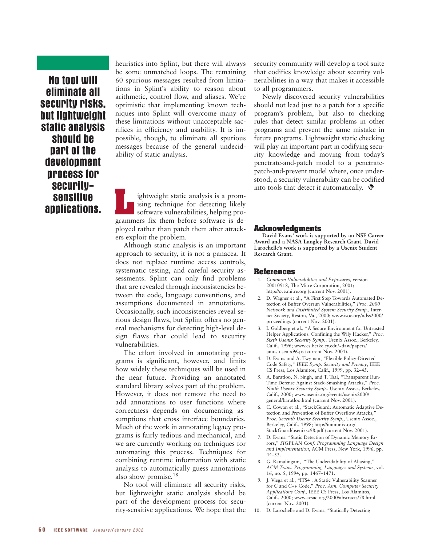**No tool will eliminate all security risks, but lightweight static analysis should be part of the development process for securitysensitive applications.** 

heuristics into Splint, but there will always be some unmatched loops. The remaining 60 spurious messages resulted from limitations in Splint's ability to reason about arithmetic, control flow, and aliases. We're optimistic that implementing known techniques into Splint will overcome many of these limitations without unacceptable sacrifices in efficiency and usability. It is impossible, though, to eliminate all spurious messages because of the general undecidability of static analysis.

**Lightweight static analysis is a prom-<br>ising technique for detecting likely<br>software vulnerabilities, helping pro-<br>grammers fix them before software is de** ising technique for detecting likely software vulnerabilities, helping programmers fix them before software is deployed rather than patch them after attackers exploit the problem.

Although static analysis is an important approach to security, it is not a panacea. It does not replace runtime access controls, systematic testing, and careful security assessments. Splint can only find problems that are revealed through inconsistencies between the code, language conventions, and assumptions documented in annotations. Occasionally, such inconsistencies reveal serious design flaws, but Splint offers no general mechanisms for detecting high-level design flaws that could lead to security vulnerabilities.

The effort involved in annotating programs is significant, however, and limits how widely these techniques will be used in the near future. Providing an annotated standard library solves part of the problem. However, it does not remove the need to add annotations to user functions where correctness depends on documenting assumptions that cross interface boundaries. Much of the work in annotating legacy programs is fairly tedious and mechanical, and we are currently working on techniques for automating this process. Techniques for combining runtime information with static analysis to automatically guess annotations also show promise.18

No tool will eliminate all security risks, but lightweight static analysis should be part of the development process for security-sensitive applications. We hope that the security community will develop a tool suite that codifies knowledge about security vulnerabilities in a way that makes it accessible to all programmers.

Newly discovered security vulnerabilities should not lead just to a patch for a specific program's problem, but also to checking rules that detect similar problems in other programs and prevent the same mistake in future programs. Lightweight static checking will play an important part in codifying security knowledge and moving from today's penetrate-and-patch model to a penetratepatch-and-prevent model where, once understood, a security vulnerability can be codified into tools that detect it automatically.  $\mathbf{\Phi}$ 

# **Acknowledgments**

**David Evans' work is supported by an NSF Career Award and a NASA Langley Research Grant. David Larochelle's work is supported by a Usenix Student Research Grant.**

### **References**

- 1. *Common Vulnerabilities and Exposures,* version 20010918, The Mitre Corporation, 2001; http://cve.mitre.org (current Nov. 2001).
- 2. D. Wagner et al., "A First Step Towards Automated Detection of Buffer Overrun Vulnerabilities," *Proc. 2000 Network and Distributed System Security Symp.,* Internet Society, Reston, Va., 2000; www.isoc.org/ndss2000/ proceedings (current Nov. 2001).
- 3. I. Goldberg et al., "A Secure Environment for Untrusted Helper Applications: Confining the Wily Hacker," *Proc. Sixth Usenix Security Symp.,* Usenix Assoc., Berkeley, Calif., 1996; www.cs.berkeley.edu/~daw/papers/ janus-usenix96.ps (current Nov. 2001).
- 4. D. Evans and A. Twyman, "Flexible Policy-Directed Code Safety," *IEEE Symp. Security and Privacy*, IEEE CS Press, Los Alamitos, Calif., 1999, pp. 32–45.
- 5. A. Baratloo, N. Singh, and T. Tsai, "Transparent Run-Time Defense Against Stack-Smashing Attacks," *Proc. Ninth Usenix Security Symp.*, Usenix Assoc., Berkeley, Calif., 2000; www.usenix.org/events/usenix2000/ general/baratloo.html (current Nov. 2001).
- 6. C. Cowan et al., "StackGuard: Automatic Adaptive Detection and Prevention of Buffer Overflow Attacks," *Proc. Seventh Usenix Security Symp.*, Usenix Assoc., Berkeley, Calif., 1998; http://immunix.org/ StackGuard/usenixsc98.pdf (current Nov. 2001).
- 7. D. Evans, "Static Detection of Dynamic Memory Errors," *SIGPLAN Conf. Programming Language Design and Implementation*, ACM Press, New York, 1996, pp. 44–53.
- 8. G. Ramalingam, "The Undecidability of Aliasing," *ACM Trans. Programming Languages and Systems*, vol. 16, no. 5, 1994, pp. 1467–1471.
- 9. J. Viega et al., "ITS4 : A Static Vulnerability Scanner for C and C++ Code," *Proc. Ann. Computer Security Applications Conf.,* IEEE CS Press, Los Alamitos, Calif., 2000; www.acsac.org/2000/abstracts/78.html (current Nov. 2001).
- 10. D. Larochelle and D. Evans, "Statically Detecting